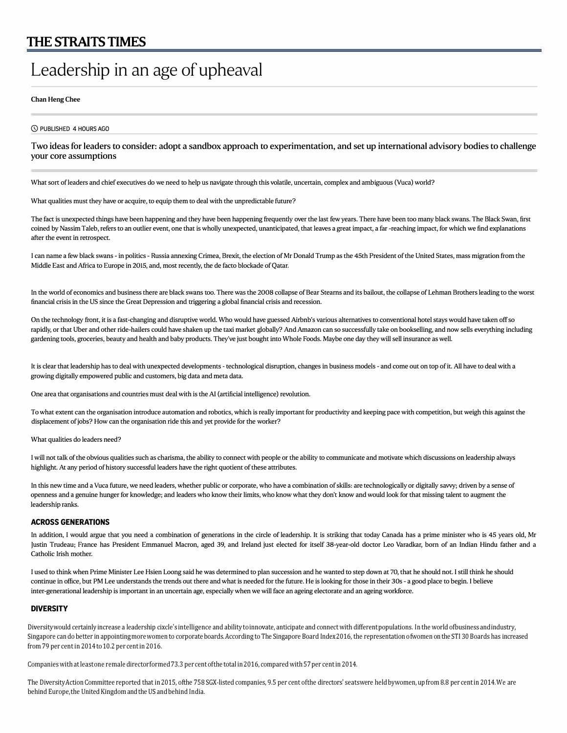# **Leadership in an age of upheaval**

#### Chan Heng Chee

CS) PUBLISHED 4 HOURS AGO

## Two ideas for leaders to consider: adopt a sandbox approach to experimentation, and set up international advisory bodies to challenge your core assumptions

What sort of leaders and chief executives do we need to help us navigate through this volatile, uncertain, complex and ambiguous (Vuca) world?

What qualities must they have or acquire, to equip them to deal with the unpredictable future?

The fact is unexpected things have been happening and they have been happening frequently over the last few years. There have been too many black swans. The Black Swan, first coined by Nassim Taleb, refers to an outlier event, one that is wholly unexpected, unanticipated, that leaves a great impact, a far -reaching impact, for which we find explanations after the event in retrospect.

I can name a few black swans - in politics - Russia annexing Crimea, Brexit, the election of Mr Donald Trump as the 45th President of the United States, mass migration from the Middle East and Africa to Europe in 2015, and, most recently, the de facto blockade of Qatar.

In the world of economics and business there are black swans too. There was the 2008 collapse of Bear Stearns and its bailout, the collapse of Lehman Brothers leading to the worst financial crisis in the US since the Great Depression and triggering a global financial crisis and recession.

On the technology front, it is a fast-changing and disruptive world. Who would have guessed Airbnb's various alternatives to conventional hotel stays would have taken off so rapidly, or that Uber and other ride-hailers could have shaken up the taxi market globally? And Amazon can so successfully take on bookselling, and now sells everything including gardening tools, groceries, beauty and health and baby products. They've just bought into Whole Foods. Maybe one day they will sell insurance as well.

It is clear that leadership has to deal with unexpected developments - technological disruption, changes in business models - and come out on top of it. All have to deal with a growing digitally empowered public and customers, big data and meta data.

One area that organisations and countries must deal with is the AI (artificial intelligence) revolution.

To what extent can the organisation introduce automation and robotics, which is really important for productivity and keeping pace with competition, but weigh this against the displacement of jobs? How can the organisation ride this and yet provide for the worker?

What qualities do leaders need?

I will not talk of the obvious qualities such as charisma, the ability to connect with people or the ability to communicate and motivate which discussions on leadership always highlight. At any period of history successful leaders have the right quotient of these attributes.

In this new time and a Vuca future, we need leaders, whether public or corporate, who have a combination of skills: are technologically or digitally savvy; driven by a sense of openness and a genuine hunger for knowledge; and leaders who know their limits, who know what they don't know and would look for that missing talent to augment the leadership ranks.

#### **ACROSS GENERATIONS**

In addition, I would argue that you need a combination of generations in the circle of leadership. It is striking that today Canada has a prime minister who is 45 years old, Mr Justin Trudeau; France has President Emmanuel Macron, aged 39, and Ireland just elected for itself 38-year-old doctor Leo Varadkar, born of an Indian Hindu father and a Catholic Irish mother.

I used to think when Prime Minister Lee Hsien Loong said he was determined to plan succession and he wanted to step down at 70, that he should not. I still think he should continue in office, but PM Lee understands the trends out there and what is needed for the future. He is looking for those in their 30s - a good place to begin. I believe inter-generational leadership is important in an uncertain age, especially when we will face an ageing electorate and an ageing workforce.

### **DIVERSITY**

Diversity would certainly increase a leadership cixcle's intelligence and ability to innovate, anticipate and connect with different populations. In the world of business and industry, Singapore can do better in appointing more women to corporate boards. According to The Singapore Board Index 2016, the representation of women on the STI 30 Boards has increased from 79 per cent in 2014 to 10.2 per cent in 2016.

Companies with at least one remale director formed 73.3 per cent of the total in 2016, compared with 57 per cent in 2014.

The Diversity Action Committee reported that in 2015, ofthe 758 SGX-listed companies, 9.5 per cent of the directors' seats were held bywomen, up from 8.8 per cent in 2014. We are behind Europe, the United Kingdom and the US and behind India.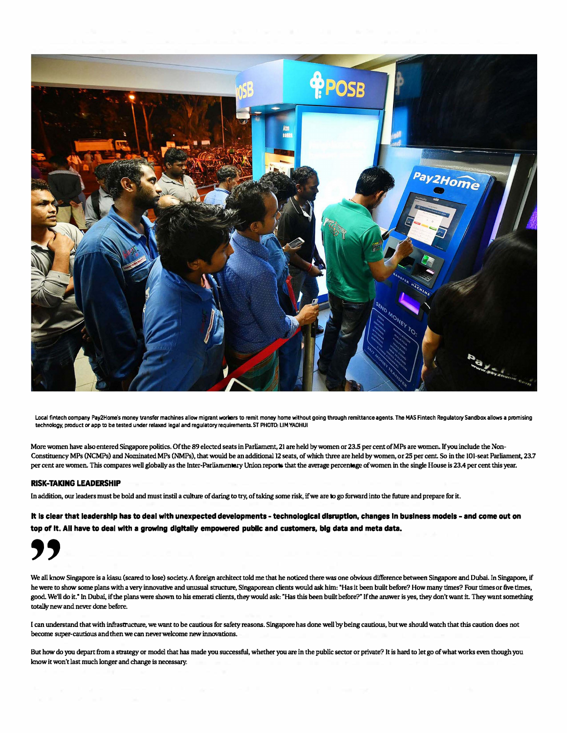

Local fintech company Pay2Home's money transfer machines allow migrant workers to remit money home without going through remittance agents. The MAS Fintech Regulatory Sandbox allows a promising **technology, product or app to be tested under relaxed legal and regulatory requirements. ST PHOTO: LIM YAOHUI** 

**More women have also entered Singapore politics. Of the 89 elected seats in Parliament, 21 are held by women or 23.5 per cent of MPs are women. Jfyou include the Non-Constituency MPs (NCMPs) and Nominated MPs (NMPs), that would be an additional 12 seats, of which three are held by women, or 25 per cent. So in the IOI-seat Parliament, 23.7 per cent are women. This compares well globally as the Inter-Parliamentary Union reports that the average percentage of women in the single House is 23.4 per cent this year.**

#### **RISK-TAKING LEADERSHIP**

**In addition, our leaders must be bold and must instil a culture of daring to try, of taking some risk, if we are to go furward into the future and prepare for it.**

**It Is clear that leadership has to deal with unexpected developments - technologlcal disruption, changes In business models - and come out on top of It. All have to deal with a growing dlgltally empowered publlc and customers, big data and meta data.** 



**We all know Singapore is a kiasu (scared to lose) society. A foreign architect told me that he noticed there was one obvious difference between Singapore and Dubai. In Singapore, if he were to show some plans with a very innovative and unusual structure, Singaporean clients would ask him: 'Has it been built before? How many times? Four times or five times, good. We'll do it.· In Dubai, if the plans were shown to his emerati clients, they would ask: "Has this been built before?" If the answer is yes, they don't want it. They want something totally new and never done before.** 

**I can understand that with infrastructure, we want to be cautious for safety reasons. Singapore has done well by being cautious, but we should watch that this caution does not become super-cautious and then we can never welcome new innovations.** 

**But how do you depart from a strategy or model that has made you successful, whether you are in the public sector or private? It is hard to let go of what works even though you know it won't last much longer and change is necessary.**